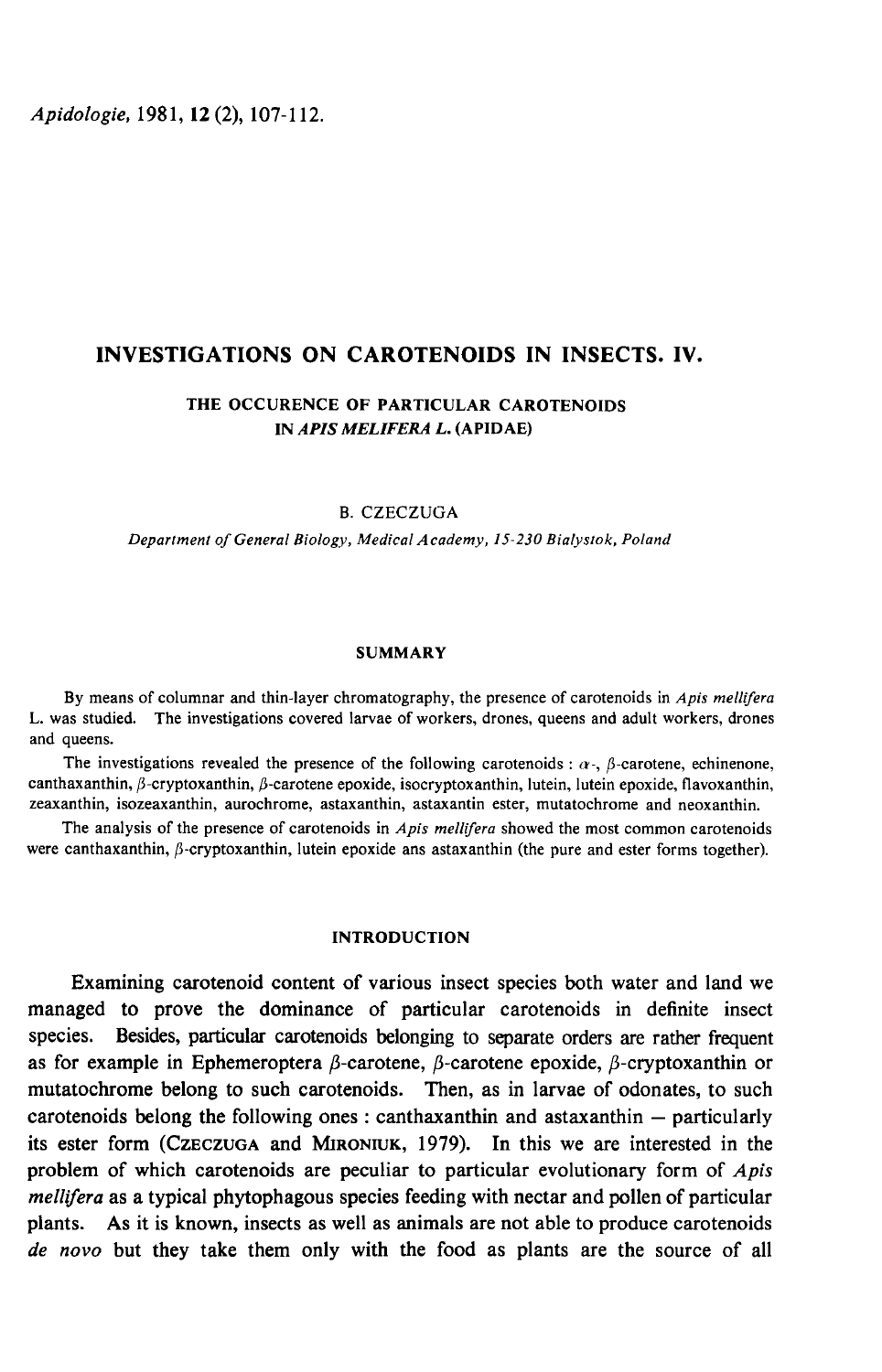Apidologie, 1981, 12 (2), 107-112.

## INVESTIGATIONS ON CAROTENOIDS IN INSECTS. IV.

# THE OCCURENCE OF PARTICULAR CAROTENOIDS IN APIS MELIFERA L. (APIDAE)

B. CZECZUGA

Department of General Biology, Medical Academy, IS-2.30 Bialystok, Poland

## SUMMARY

By means of columnar and thin-layer chromatography, the presence of carotenoids in Apis mellifera L. was studied. The investigations covered larvae of workers, drones, queens and adult workers, drones and queens.

The investigations revealed the presence of the following carotenoids :  $\alpha$ -,  $\beta$ -carotene, echinenone, canthaxanthin, β-cryptoxanthin, β-carotene epoxide, isocryptoxanthin, lutein, lutein epoxide, flavoxanthin, zeaxanthin, isozeaxanthin, aurochrome, astaxanthin, astaxantin ester, mutatochrome and neoxanthin.

The analysis of the presence of carotenoids in  $Apis$  mellifera showed the most common carotenoids were canthaxanthin,  $\beta$ -cryptoxanthin, lutein epoxide ans astaxanthin (the pure and ester forms together).

## INTRODUCTION

Examining carotenoid content of various insect species both water and land we managed to prove the dominance of particular carotenoids in definite insect species. Besides, particular carotenoids belonging to separate orders are rather frequent as for example in Ephemeroptera  $\beta$ -carotene,  $\beta$ -carotene epoxide,  $\beta$ -cryptoxanthin or mutatochrome belong to such carotenoids. Then, as in larvae of odonates, to such carotenoids belong the following ones : canthaxanthin and astaxanthin  $-$  particularly species. Besides, particular carotenoids belonging to separate orders are rather frequent<br>as for example in Ephemeroptera  $\beta$ -carotene,  $\beta$ -carotene epoxide,  $\beta$ -cryptoxanthin or<br>mutatochrome belong to such carotenoids problem of which carotenoids are peculiar to particular evolutionary form of Apis mellifera as a typical phytophagous species feeding with nectar and pollen of particular plants. As it is known, insects as well as animals are not able to produce carotenoids de novo but they take them only with the food as plants are the source of all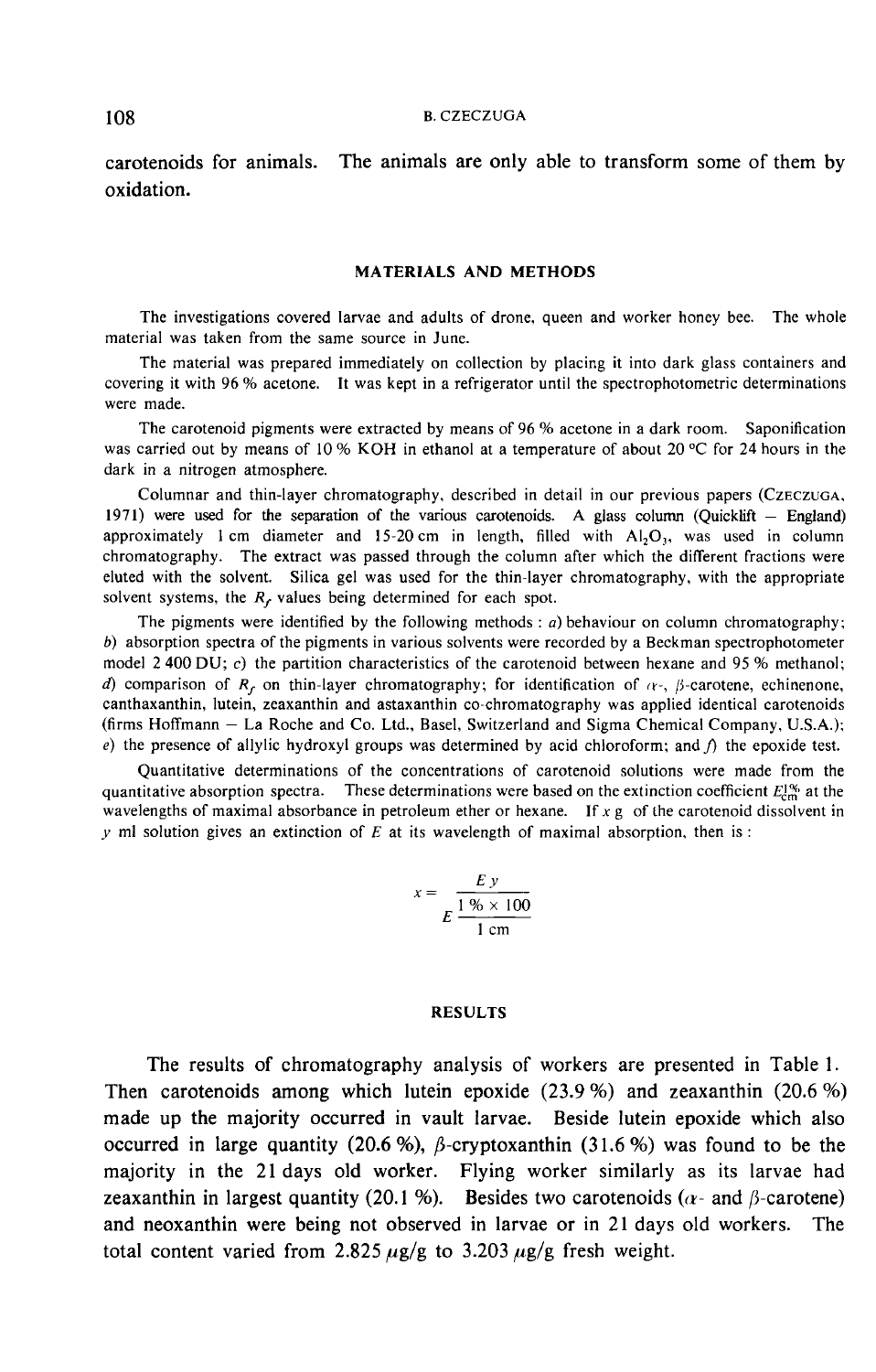carotenoids for animals. The animals are only able to transform some of them by oxidation.

#### MATERIALS AND METHODS

The investigations covered larvae and adults of drone, queen and worker honey bee. The whole material was taken from the same source in June.

The material was prepared immediately on collection by placing it into dark glass containers and covering it with 96 % acetone. It was kept in a refrigerator until the spectrophotometric determinations were made.

The carotenoid pigments were extracted by means of 96 % acetone in a dark room. Saponification was carried out by means of 10 % KOH in ethanol at a temperature of about 20 °C for 24 hours in the dark in a nitrogen atmosphere. were made.<br>
The carotenoid pigments were extracted by means of 96 % acetone in a dark room. Saponification<br>
was carried out by means of 10 % KOH in ethanol at a temperature of about 20 °C for 24 hours in the<br>
dark in a nit

Columnar and thin-layer chromatography, described in detail in our previous Columnar and thin-layer chromatography, described in detail in our previous papers (CZECZUGA.<br>1971) were used for the separation of the various carotenoids. A glass column (Quicklift – England<br>approximately 1 cm diameter chromatography. The extract was passed through the column after which the different fractions were eluted with the solvent. Silica gel was used for the thin-layer chromatography, with the appropriate solvent systems, the  $R_f$  values being determined for each spot.

The pigments were identified by the following methods :  $a$ ) behaviour on column chromatography; b) absorption spectra of the pigments in various solvents were recorded by a Beckman spectrophotometer model 2 400 DU; c) the partition characteristics of the carotenoid between hexane and 95 % methanol; d) comparison of R<sub>c</sub> on thin-layer chromatography; for identification of  $\alpha$ -,  $\beta$ -carotene, echinenone, canthaxanthin, lutein, zeaxanthin and astaxanthin co-chromatography was applied identical carotenoids (firms Hoffmann - La Roche and Co. Ltd., Basel, Switzerland and Sigma Chemical Company, U.S.A.); e) the presence of allylic hydroxyl groups was determined by acid chloroform; and  $\hat{p}$  the epoxide test.

Quantitative determinations of the concentrations of carotenoid solutions were made from the quantitative absorption spectra. These determinations were based on the extinction coefficient  $E_{\text{cm}}^{1,\text{w}}$  at the wavelengths of maximal absorbance in petroleum ether or hexane. If  $x g$  of the carotenoid dissolvent in y ml solution gives an extinction of  $E$  at its wavelength of maximal absorption, then is :

$$
x = \frac{E y}{E \frac{1\% \times 100}{1 \text{ cm}}}
$$

### RESULTS

The results of chromatography analysis of workers are presented in Table 1. Then carotenoids among which lutein epoxide  $(23.9\%)$  and zeaxanthin  $(20.6\%)$ made up the majority occurred in vault larvae. Beside lutein epoxide which also occurred in large quantity (20.6 %),  $\beta$ -cryptoxanthin (31.6 %) was found to be the majority in the 21 days old worker. Flying worker similarly as its larvae had zeaxanthin in largest quantity (20.1 %). Besides two carotenoids ( $\alpha$ - and  $\beta$ -carotene) and neoxanthin were being not observed in larvae or in 21 days old workers. The total content varied from 2.825  $\mu$ g/g to 3.203  $\mu$ g/g fresh weight.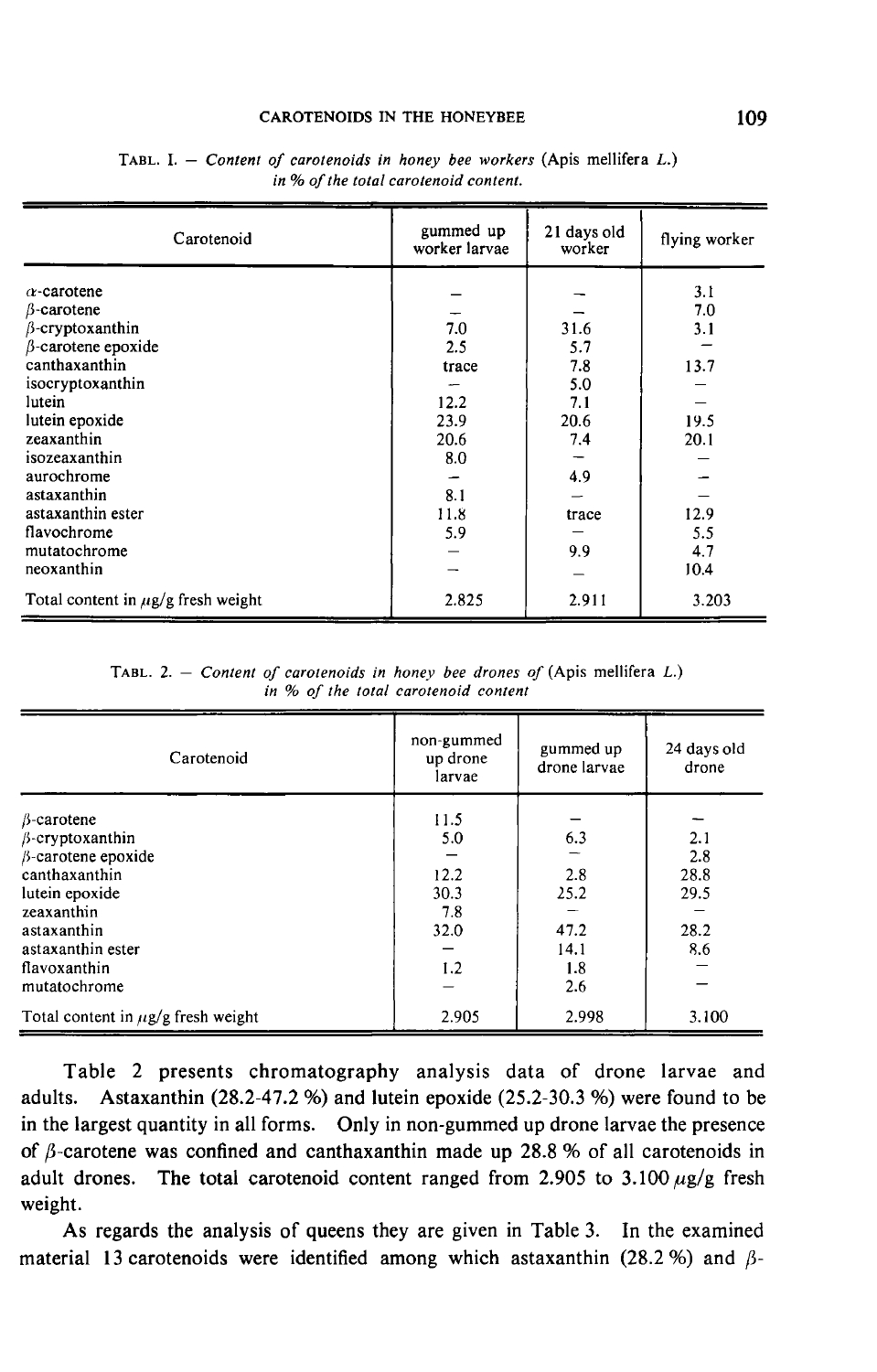### **CAROTENOIDS IN THE HONEYBEE**

| Carotenoid                                                                                                                                                                                                                  | gummed up<br>worker larvae                                | 21 days old<br>worker                                  | flying worker                             |
|-----------------------------------------------------------------------------------------------------------------------------------------------------------------------------------------------------------------------------|-----------------------------------------------------------|--------------------------------------------------------|-------------------------------------------|
| $\alpha$ -carotene<br>$\beta$ -carotene<br>$\beta$ -cryptoxanthin<br>$\beta$ -carotene epoxide<br>canthaxanthin<br>isocryptoxanthin<br>lutein<br>lutein epoxide<br>zeaxanthin<br>isozeaxanthin<br>aurochrome<br>astaxanthin | 7.0<br>2.5<br>trace<br>12.2<br>23.9<br>20.6<br>8.0<br>8.1 | 31.6<br>5.7<br>7.8<br>5.0<br>7.1<br>20.6<br>7.4<br>4.9 | 3.1<br>7.0<br>3.1<br>13.7<br>19.5<br>20.1 |
| astaxanthin ester<br>flavochrome<br>mutatochrome<br>neoxanthin                                                                                                                                                              | 11.8<br>5.9                                               | trace<br>9.9                                           | 12.9<br>5.5<br>4.7<br>10.4                |
| Total content in $\mu$ g/g fresh weight                                                                                                                                                                                     | 2.825                                                     | 2.911                                                  | 3.203                                     |

TABL. I. - Content of carotenoids in honey bee workers (Apis mellifera  $L$ .) in % of the total carotenoid content.

TABL. 2. - Content of carotenoids in honey bee drones of (Apis mellifera  $L$ .) in % of the total carotenoid content

| Carotenoid                                                                                                                                                                             | non-gummed<br>up drone<br>larvae                  | gummed up<br>drone larvae                        | 24 days old<br>drone                      |
|----------------------------------------------------------------------------------------------------------------------------------------------------------------------------------------|---------------------------------------------------|--------------------------------------------------|-------------------------------------------|
| $\beta$ -carotene<br>$\beta$ -cryptoxanthin<br>B-carotene epoxide<br>canthaxanthin<br>lutein epoxide<br>zeaxanthin<br>astaxanthin<br>astaxanthin ester<br>flavoxanthin<br>mutatochrome | 11.5<br>5.0<br>12.2<br>30.3<br>7.8<br>32.0<br>1.2 | 6.3<br>2.8<br>25.2<br>47.2<br>14.1<br>1.8<br>2.6 | 2.1<br>2.8<br>28.8<br>29.5<br>28.2<br>8.6 |
| Total content in $\mu$ g/g fresh weight                                                                                                                                                | 2.905                                             | 2.998                                            | 3.100                                     |

Table 2 presents chromatography analysis data of drone larvae and adults. Astaxanthin (28.2-47.2 %) and lutein epoxide (25.2-30.3 %) were found to be in the largest quantity in all forms. Only in non-gummed up drone larvae the presence of  $\beta$ -carotene was confined and canthaxanthin made up 28.8 % of all carotenoids in adult drones. The total carotenoid content ranged from 2.905 to 3.100  $\mu$ g/g fresh weight.

As regards the analysis of queens they are given in Table 3. In the examined material 13 carotenoids were identified among which astaxanthin (28.2 %) and  $\beta$ -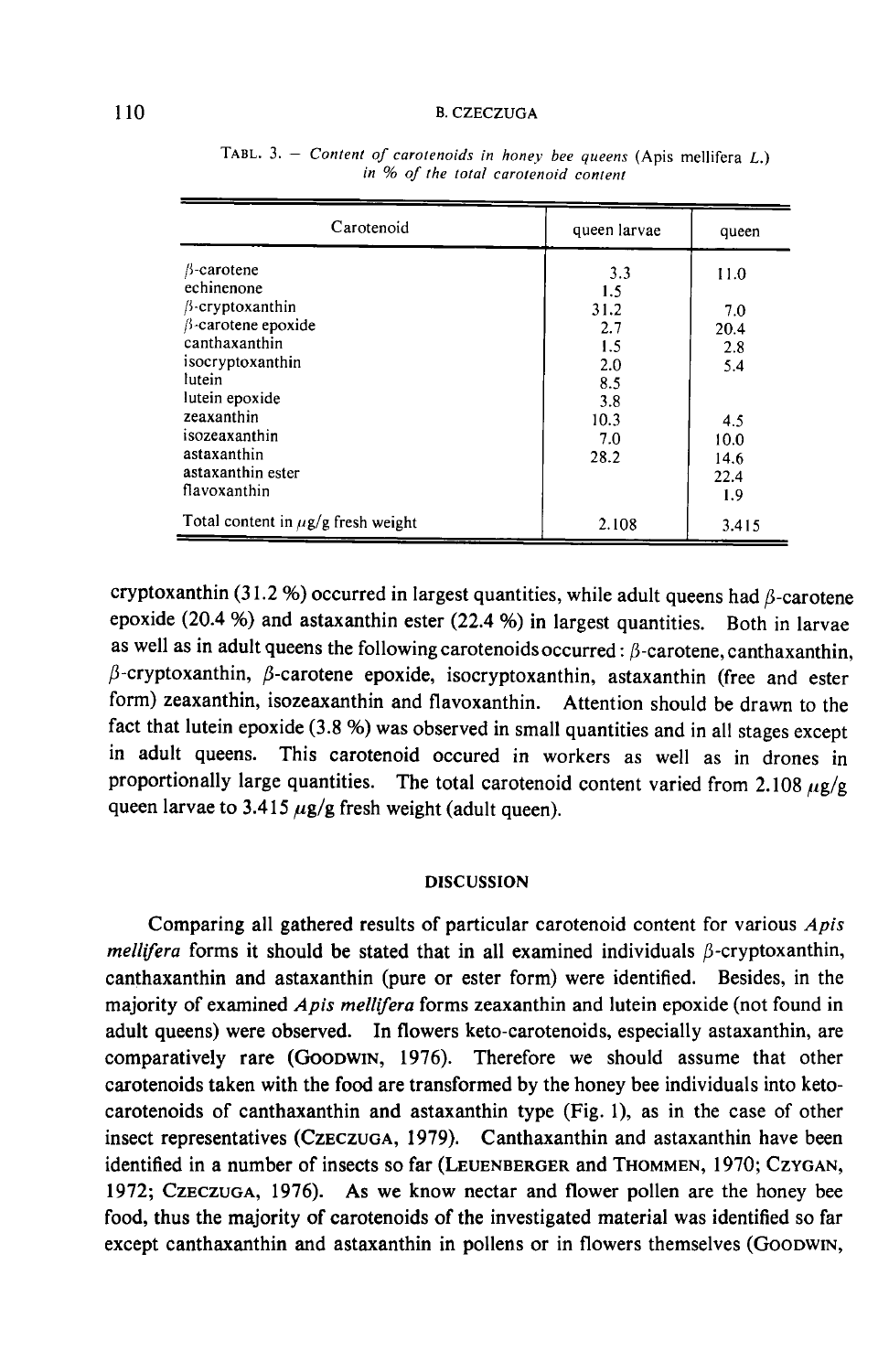#### **B. CZECZUGA**

| Carotenoid                                 | queen larvae | queen       |
|--------------------------------------------|--------------|-------------|
| $\beta$ -carotene<br>echinenone            | 3.3<br>1.5   | 11.0        |
| $\beta$ -cryptoxanthin                     | 31.2         | 7.0         |
| $\beta$ -carotene epoxide<br>canthaxanthin | 2.7<br>1.5   | 20.4<br>2.8 |
| isocryptoxanthin<br>lutein                 | 2.0<br>8.5   | 5.4         |
| lutein epoxide                             | 3.8          |             |
| zeaxanthin<br>isozeaxanthin                | 10.3<br>7.0  | 4.5<br>10.0 |
| astaxanthin<br>astaxanthin ester           | 28.2         | 14.6        |
| flavoxanthin                               |              | 22.4<br>1.9 |
| Total content in $\mu$ g/g fresh weight    | 2.108        | 3.415       |

TABL. 3. - Content of carotenoids in honey bee queens (Apis mellifera  $L$ .) in % of the total carotenoid content

cryptoxanthin (31.2 %) occurred in largest quantities, while adult queens had  $\beta$ -carotene epoxide (20.4 %) and astaxanthin ester (22.4 %) in largest quantities. Both in larvae as well as in adult queens the following carotenoids occurred:  $\beta$ -carotene, canthaxanthin,  $\beta$ -cryptoxanthin,  $\beta$ -carotene epoxide, isocryptoxanthin, astaxanthin (free and ester form) zeaxanthin, isozeaxanthin and flavoxanthin. Attention should be drawn to the fact that lutein epoxide (3.8 %) was observed in small quantities and in all stages except in adult queens. This carotenoid occured in workers as well as in drones in proportionally large quantities. The total carotenoid content varied from 2.108  $\mu$ g/g queen larvae to 3.415  $\mu$ g/g fresh weight (adult queen).

## DISCUSSION

Comparing all gathered results of particular carotenoid content for various Apis mellifera forms it should be stated that in all examined individuals  $\beta$ -cryptoxanthin, canthaxanthin and astaxanthin (pure or ester form) were identified. Besides, in the majority of examined Apis mellifera forms zeaxanthin and lutein epoxide (not found in adult queens) were observed. In flowers keto-carotenoids, especially astaxanthin, are mellifera forms it should be stated that in all examined individuals  $\beta$ -cryptoxanthin.<br>canthaxanthin and astaxanthin (pure or ester form) were identified. Besides, in the<br>majority of examined *Apis mellifera* forms zeax carotenoids taken with the food are transformed by the honey bee individuals into ketocarotenoids of canthaxanthin and astaxanthin type (Fig. 1), as in the case of other insect representatives (CzECzUGA, 1979). Canthaxanthin and astaxanthin have been comparatively rare (GooDWIN, 1976). Therefore we should assume that other carotenoids taken with the food are transformed by the honey bee individuals into keto-carotenoids of canthaxanthin and astaxanthin type (Fig. 1), a carotenoids taken with the food are transformed by the honey bee individuals into keto-<br>carotenoids of canthaxanthin and astaxanthin type (Fig. 1), as in the case of other<br>insect representatives (CzECZUGA, 1979). Canthaxan food, thus the majority of carotenoids of the investigated material was identified so far except canthaxanthin and astaxanthin in pollens or in flowers themselves (Goodwin,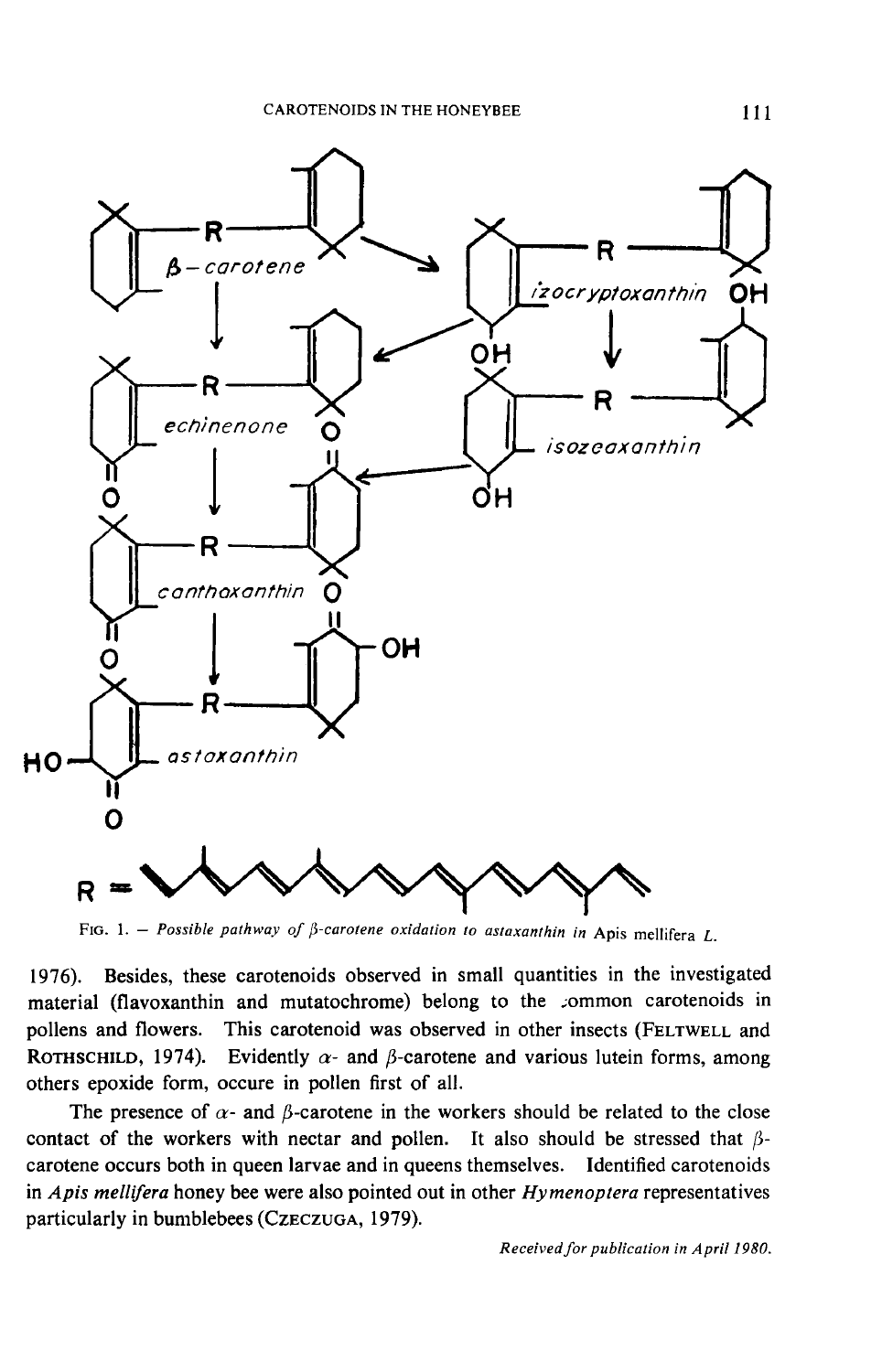

1976). Besides, these carotenoids observed in small quantities in the investigated material (flavoxanthin and mutatochrome) belong to the common carotenoids in pollens and flowers. This carotenoid was observed in other insects (FELTWELL and F<sub>IG. 1.</sub><br>1976). Besident<br>material (flav<br>pollens and f<br>ROTHSCHILD,<br>others epoxid Existes, these carotenoids observed in small quantities in the investigated<br>
(flavoxanthin and mutatochrome) belong to the common carotenoids in<br>
and flowers. This carotenoid was observed in other insects (FELTWELL and<br> FIG. 1. – *Possible pathway of*  $\beta$ *-carotene oxidation to astaxanthin in* Apis mellifera *L*.<br>1976). Besides, these carotenoids observed in small quantities in the investigated<br>material (flavoxanthin and mutatochrome) bel others epoxide form, occure in pollen first of all.

The presence of  $\alpha$ - and  $\beta$ -carotene in the workers should be related to the close contact of the workers with nectar and pollen. It also should be stressed that  $\beta$ carotene occurs both in queen larvae and in queens themselves. Identified carotenoids in Apis mellifera honey bee were also pointed out in other Hymenoptera representatives The presence of  $\alpha$ - and  $\beta$ -carotene in the word<br>contact of the workers with nectar and pollen.<br>carotene occurs both in queen larvae and in queens<br>in *Apis mellifera* honey bee were also pointed out in<br>particularly in

Received for publication in April 1980.